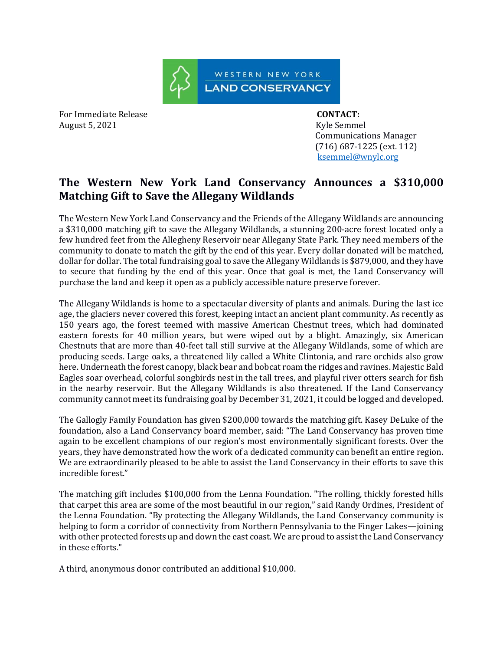

For Immediate Release **CONTACT:**  August 5, 2021 **Kyle Semmel** 

 Communications Manager (716) 687-1225 (ext. 112) [ksemmel@wnylc.org](mailto:ksemmel@wnylc.org)

## **The Western New York Land Conservancy Announces a \$310,000 Matching Gift to Save the Allegany Wildlands**

The Western New York Land Conservancy and the Friends of the Allegany Wildlands are announcing a \$310,000 matching gift to save the Allegany Wildlands, a stunning 200-acre forest located only a few hundred feet from the Allegheny Reservoir near Allegany State Park. They need members of the community to donate to match the gift by the end of this year. Every dollar donated will be matched, dollar for dollar. The total fundraising goal to save the Allegany Wildlands is \$879,000, and they have to secure that funding by the end of this year. Once that goal is met, the Land Conservancy will purchase the land and keep it open as a publicly accessible nature preserve forever.

The Allegany Wildlands is home to a spectacular diversity of plants and animals. During the last ice age, the glaciers never covered this forest, keeping intact an ancient plant community. As recently as 150 years ago, the forest teemed with massive American Chestnut trees, which had dominated eastern forests for 40 million years, but were wiped out by a blight. Amazingly, six American Chestnuts that are more than 40-feet tall still survive at the Allegany Wildlands, some of which are producing seeds. Large oaks, a threatened lily called a White Clintonia, and rare orchids also grow here. Underneath the forest canopy, black bear and bobcat roam the ridges and ravines. Majestic Bald Eagles soar overhead, colorful songbirds nest in the tall trees, and playful river otters search for fish in the nearby reservoir. But the Allegany Wildlands is also threatened. If the Land Conservancy community cannot meet its fundraising goal by December 31, 2021, it could be logged and developed.

The Gallogly Family Foundation has given \$200,000 towards the matching gift. Kasey DeLuke of the foundation, also a Land Conservancy board member, said: "The Land Conservancy has proven time again to be excellent champions of our region's most environmentally significant forests. Over the years, they have demonstrated how the work of a dedicated community can benefit an entire region. We are extraordinarily pleased to be able to assist the Land Conservancy in their efforts to save this incredible forest."

The matching gift includes \$100,000 from the Lenna Foundation. "The rolling, thickly forested hills that carpet this area are some of the most beautiful in our region," said Randy Ordines, President of the Lenna Foundation. "By protecting the Allegany Wildlands, the Land Conservancy community is helping to form a corridor of connectivity from Northern Pennsylvania to the Finger Lakes—joining with other protected forests up and down the east coast. We are proud to assist the Land Conservancy in these efforts."

A third, anonymous donor contributed an additional \$10,000.